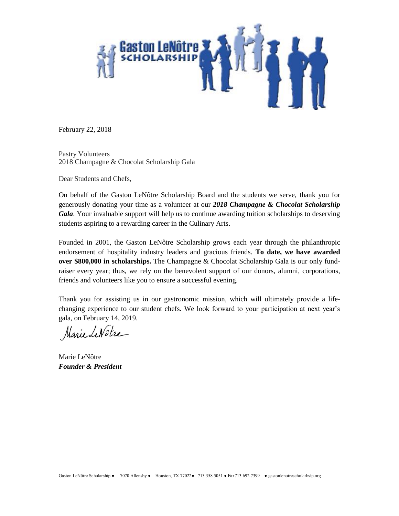

February 22, 2018

Pastry Volunteers 2018 Champagne & Chocolat Scholarship Gala

Dear Students and Chefs,

On behalf of the Gaston LeNôtre Scholarship Board and the students we serve, thank you for generously donating your time as a volunteer at our *2018 Champagne & Chocolat Scholarship Gala*. Your invaluable support will help us to continue awarding tuition scholarships to deserving students aspiring to a rewarding career in the Culinary Arts.

Founded in 2001, the Gaston LeNôtre Scholarship grows each year through the philanthropic endorsement of hospitality industry leaders and gracious friends. **To date, we have awarded over \$800,000 in scholarships.** The Champagne & Chocolat Scholarship Gala is our only fundraiser every year; thus, we rely on the benevolent support of our donors, alumni, corporations, friends and volunteers like you to ensure a successful evening.

Thank you for assisting us in our gastronomic mission, which will ultimately provide a lifechanging experience to our student chefs. We look forward to your participation at next year's gala, on February 14, 2019.

Marie Le Nôtre

Marie LeNôtre *Founder & President*